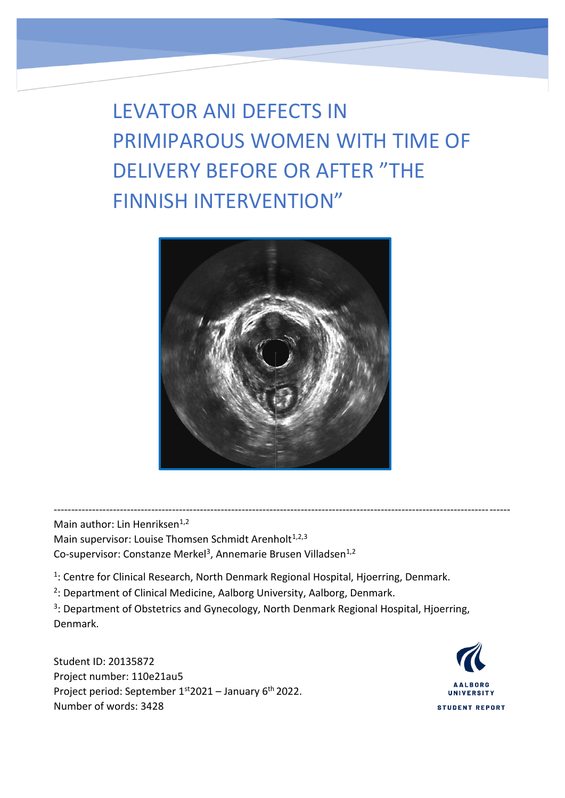LEVATOR ANI DEFECTS IN PRIMIPAROUS WOMEN WITH TIME OF DELIVERY BEFORE OR AFTER "THE FINNISH INTERVENTION"



-----------------------------------------------------------------------------------------------------------------------------------

Main author: Lin Henriksen<sup>1,2</sup> Main supervisor: Louise Thomsen Schmidt Arenholt<sup>1,2,3</sup> Co-supervisor: Constanze Merkel<sup>3</sup>, Annemarie Brusen Villadsen<sup>1,2</sup>

<sup>1</sup>: Centre for Clinical Research, North Denmark Regional Hospital, Hjoerring, Denmark.

<sup>2</sup>: Department of Clinical Medicine, Aalborg University, Aalborg, Denmark.

<sup>3</sup>: Department of Obstetrics and Gynecology, North Denmark Regional Hospital, Hjoerring, Denmark.

Student ID: 20135872 Project number: 110e21au5 Project period: September 1st 2021 - January 6<sup>th</sup> 2022. Number of words: 3428

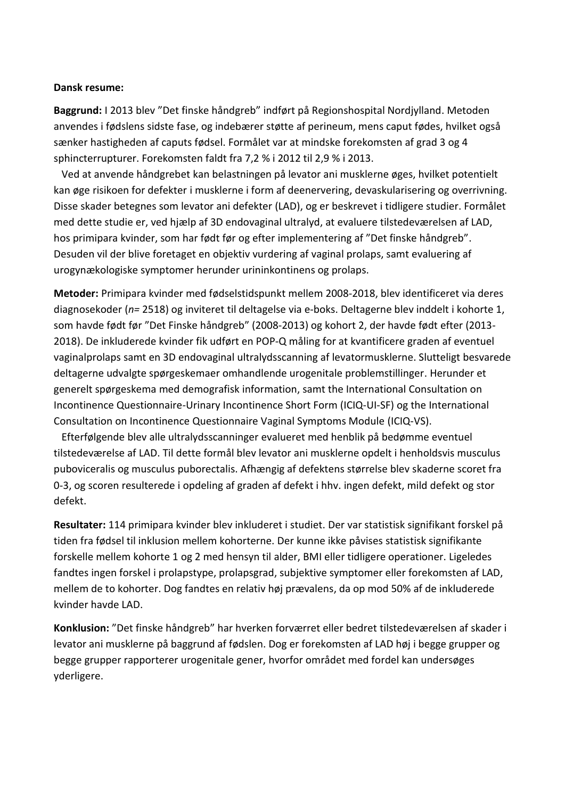#### **Dansk resume:**

**Baggrund:** I 2013 blev "Det finske håndgreb" indført på Regionshospital Nordjylland. Metoden anvendes i fødslens sidste fase, og indebærer støtte af perineum, mens caput fødes, hvilket også sænker hastigheden af caputs fødsel. Formålet var at mindske forekomsten af grad 3 og 4 sphincterrupturer. Forekomsten faldt fra 7,2 % i 2012 til 2,9 % i 2013.

 Ved at anvende håndgrebet kan belastningen på levator ani musklerne øges, hvilket potentielt kan øge risikoen for defekter i musklerne i form af deenervering, devaskularisering og overrivning. Disse skader betegnes som levator ani defekter (LAD), og er beskrevet i tidligere studier. Formålet med dette studie er, ved hjælp af 3D endovaginal ultralyd, at evaluere tilstedeværelsen af LAD, hos primipara kvinder, som har født før og efter implementering af "Det finske håndgreb". Desuden vil der blive foretaget en objektiv vurdering af vaginal prolaps, samt evaluering af urogynækologiske symptomer herunder urininkontinens og prolaps.

**Metoder:** Primipara kvinder med fødselstidspunkt mellem 2008-2018, blev identificeret via deres diagnosekoder (*n=* 2518) og inviteret til deltagelse via e-boks. Deltagerne blev inddelt i kohorte 1, som havde født før "Det Finske håndgreb" (2008-2013) og kohort 2, der havde født efter (2013- 2018). De inkluderede kvinder fik udført en POP-Q måling for at kvantificere graden af eventuel vaginalprolaps samt en 3D endovaginal ultralydsscanning af levatormusklerne. Slutteligt besvarede deltagerne udvalgte spørgeskemaer omhandlende urogenitale problemstillinger. Herunder et generelt spørgeskema med demografisk information, samt the International Consultation on Incontinence Questionnaire-Urinary Incontinence Short Form (ICIQ-UI-SF) og the International Consultation on Incontinence Questionnaire Vaginal Symptoms Module (ICIQ-VS).

 Efterfølgende blev alle ultralydsscanninger evalueret med henblik på bedømme eventuel tilstedeværelse af LAD. Til dette formål blev levator ani musklerne opdelt i henholdsvis musculus puboviceralis og musculus puborectalis. Afhængig af defektens størrelse blev skaderne scoret fra 0-3, og scoren resulterede i opdeling af graden af defekt i hhv. ingen defekt, mild defekt og stor defekt.

**Resultater:** 114 primipara kvinder blev inkluderet i studiet. Der var statistisk signifikant forskel på tiden fra fødsel til inklusion mellem kohorterne. Der kunne ikke påvises statistisk signifikante forskelle mellem kohorte 1 og 2 med hensyn til alder, BMI eller tidligere operationer. Ligeledes fandtes ingen forskel i prolapstype, prolapsgrad, subjektive symptomer eller forekomsten af LAD, mellem de to kohorter. Dog fandtes en relativ høj prævalens, da op mod 50% af de inkluderede kvinder havde LAD.

**Konklusion:** "Det finske håndgreb" har hverken forværret eller bedret tilstedeværelsen af skader i levator ani musklerne på baggrund af fødslen. Dog er forekomsten af LAD høj i begge grupper og begge grupper rapporterer urogenitale gener, hvorfor området med fordel kan undersøges yderligere.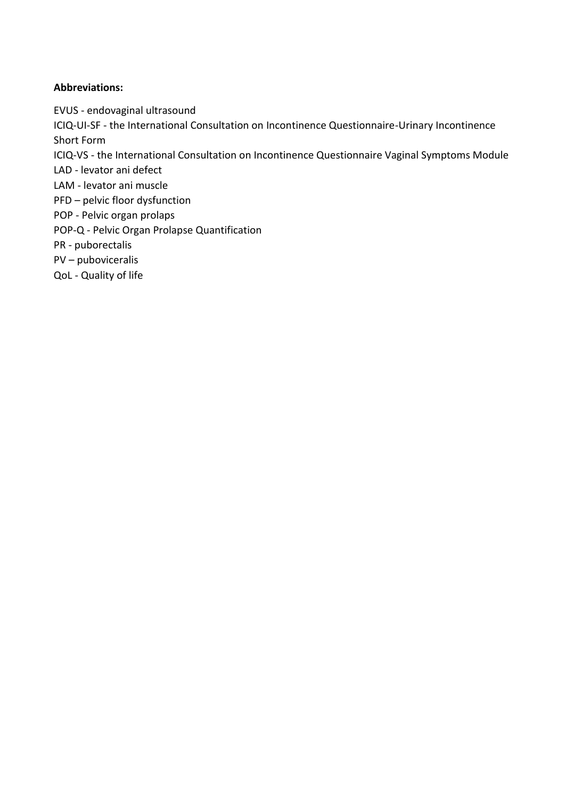# **Abbreviations:**

EVUS - endovaginal ultrasound

ICIQ-UI-SF - the International Consultation on Incontinence Questionnaire-Urinary Incontinence Short Form

ICIQ-VS - the International Consultation on Incontinence Questionnaire Vaginal Symptoms Module

LAD - levator ani defect

LAM - levator ani muscle

PFD – pelvic floor dysfunction

POP - Pelvic organ prolaps

POP-Q - Pelvic Organ Prolapse Quantification

PR - puborectalis

PV – puboviceralis

QoL - Quality of life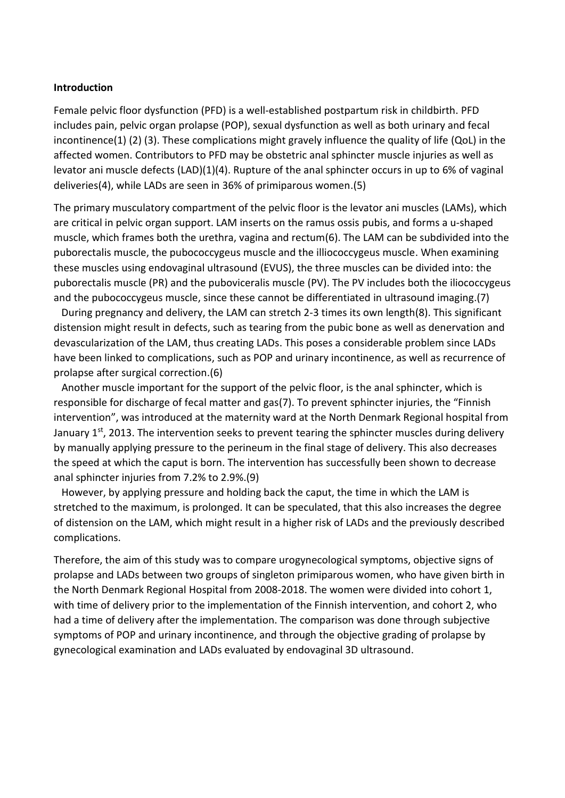#### **Introduction**

Female pelvic floor dysfunction (PFD) is a well-established postpartum risk in childbirth. PFD includes pain, pelvic organ prolapse (POP), sexual dysfunction as well as both urinary and fecal incontinence(1) (2) (3). These complications might gravely influence the quality of life (QoL) in the affected women. Contributors to PFD may be obstetric anal sphincter muscle injuries as well as levator ani muscle defects (LAD)(1)(4). Rupture of the anal sphincter occurs in up to 6% of vaginal deliveries(4), while LADs are seen in 36% of primiparous women.(5)

The primary musculatory compartment of the pelvic floor is the levator ani muscles (LAMs), which are critical in pelvic organ support. LAM inserts on the ramus ossis pubis, and forms a u-shaped muscle, which frames both the urethra, vagina and rectum(6). The LAM can be subdivided into the puborectalis muscle, the pubococcygeus muscle and the illiococcygeus muscle. When examining these muscles using endovaginal ultrasound (EVUS), the three muscles can be divided into: the puborectalis muscle (PR) and the puboviceralis muscle (PV). The PV includes both the iliococcygeus and the pubococcygeus muscle, since these cannot be differentiated in ultrasound imaging.(7)

 During pregnancy and delivery, the LAM can stretch 2-3 times its own length(8). This significant distension might result in defects, such as tearing from the pubic bone as well as denervation and devascularization of the LAM, thus creating LADs. This poses a considerable problem since LADs have been linked to complications, such as POP and urinary incontinence, as well as recurrence of prolapse after surgical correction.(6)

 Another muscle important for the support of the pelvic floor, is the anal sphincter, which is responsible for discharge of fecal matter and gas(7). To prevent sphincter injuries, the "Finnish intervention", was introduced at the maternity ward at the North Denmark Regional hospital from January 1<sup>st</sup>, 2013. The intervention seeks to prevent tearing the sphincter muscles during delivery by manually applying pressure to the perineum in the final stage of delivery. This also decreases the speed at which the caput is born. The intervention has successfully been shown to decrease anal sphincter injuries from 7.2% to 2.9%.(9)

 However, by applying pressure and holding back the caput, the time in which the LAM is stretched to the maximum, is prolonged. It can be speculated, that this also increases the degree of distension on the LAM, which might result in a higher risk of LADs and the previously described complications.

Therefore, the aim of this study was to compare urogynecological symptoms, objective signs of prolapse and LADs between two groups of singleton primiparous women, who have given birth in the North Denmark Regional Hospital from 2008-2018. The women were divided into cohort 1, with time of delivery prior to the implementation of the Finnish intervention, and cohort 2, who had a time of delivery after the implementation. The comparison was done through subjective symptoms of POP and urinary incontinence, and through the objective grading of prolapse by gynecological examination and LADs evaluated by endovaginal 3D ultrasound.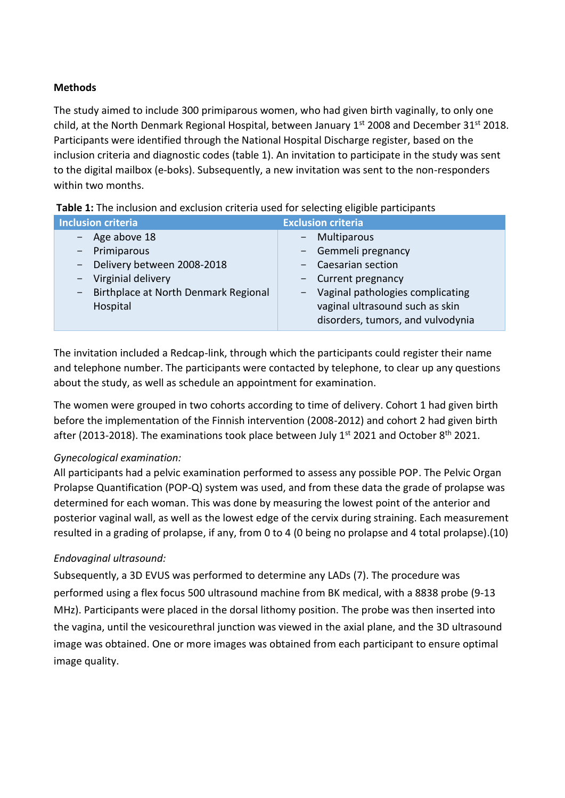## **Methods**

The study aimed to include 300 primiparous women, who had given birth vaginally, to only one child, at the North Denmark Regional Hospital, between January 1st 2008 and December 31st 2018. Participants were identified through the National Hospital Discharge register, based on the inclusion criteria and diagnostic codes (table 1). An invitation to participate in the study was sent to the digital mailbox (e-boks). Subsequently, a new invitation was sent to the non-responders within two months.

| Inclusion criteria                                               | <b>Exclusion criteria</b>          |  |  |  |
|------------------------------------------------------------------|------------------------------------|--|--|--|
| $-$ Age above 18                                                 | - Multiparous                      |  |  |  |
| - Primiparous                                                    | - Gemmeli pregnancy                |  |  |  |
| - Delivery between 2008-2018                                     | - Caesarian section                |  |  |  |
| - Virginial delivery                                             | - Current pregnancy                |  |  |  |
| Birthplace at North Denmark Regional<br>$\overline{\phantom{a}}$ | - Vaginal pathologies complicating |  |  |  |
| Hospital                                                         | vaginal ultrasound such as skin    |  |  |  |
|                                                                  | disorders, tumors, and vulvodynia  |  |  |  |
|                                                                  |                                    |  |  |  |

| Table 1: The inclusion and exclusion criteria used for selecting eligible participants |  |
|----------------------------------------------------------------------------------------|--|
|----------------------------------------------------------------------------------------|--|

The invitation included a Redcap-link, through which the participants could register their name and telephone number. The participants were contacted by telephone, to clear up any questions about the study, as well as schedule an appointment for examination.

The women were grouped in two cohorts according to time of delivery. Cohort 1 had given birth before the implementation of the Finnish intervention (2008-2012) and cohort 2 had given birth after (2013-2018). The examinations took place between July  $1^{st}$  2021 and October 8<sup>th</sup> 2021.

#### *Gynecological examination:*

All participants had a pelvic examination performed to assess any possible POP. The Pelvic Organ Prolapse Quantification (POP-Q) system was used, and from these data the grade of prolapse was determined for each woman. This was done by measuring the lowest point of the anterior and posterior vaginal wall, as well as the lowest edge of the cervix during straining. Each measurement resulted in a grading of prolapse, if any, from 0 to 4 (0 being no prolapse and 4 total prolapse).(10)

# *Endovaginal ultrasound:*

Subsequently, a 3D EVUS was performed to determine any LADs (7). The procedure was performed using a flex focus 500 ultrasound machine from BK medical, with a 8838 probe (9-13 MHz). Participants were placed in the dorsal lithomy position. The probe was then inserted into the vagina, until the vesicourethral junction was viewed in the axial plane, and the 3D ultrasound image was obtained. One or more images was obtained from each participant to ensure optimal image quality.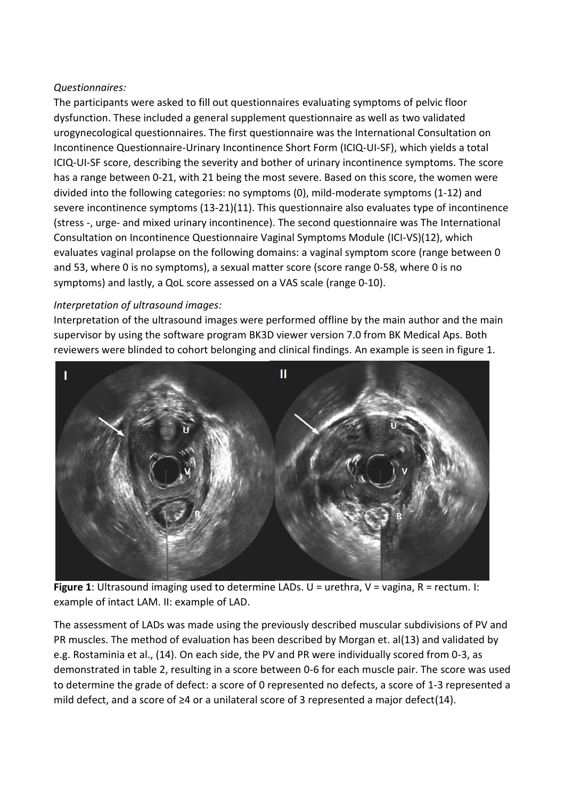# *Questionnaires:*

The participants were asked to fill out questionnaires evaluating symptoms of pelvic floor dysfunction. These included a general supplement questionnaire as well as two validated urogynecological questionnaires. The first questionnaire was the International Consultation on Incontinence Questionnaire-Urinary Incontinence Short Form (ICIQ-UI-SF), which yields a total ICIQ-UI-SF score, describing the severity and bother of urinary incontinence symptoms. The score has a range between 0-21, with 21 being the most severe. Based on this score, the women were divided into the following categories: no symptoms (0), mild-moderate symptoms (1-12) and severe incontinence symptoms (13-21)(11). This questionnaire also evaluates type of incontinence (stress -, urge- and mixed urinary incontinence). The second questionnaire was The International Consultation on Incontinence Questionnaire Vaginal Symptoms Module (ICI-VS)(12), which evaluates vaginal prolapse on the following domains: a vaginal symptom score (range between 0 and 53, where 0 is no symptoms), a sexual matter score (score range 0-58, where 0 is no symptoms) and lastly, a QoL score assessed on a VAS scale (range 0-10).

# *Interpretation of ultrasound images:*

Interpretation of the ultrasound images were performed offline by the main author and the main supervisor by using the software program BK3D viewer version 7.0 from BK Medical Aps. Both reviewers were blinded to cohort belonging and clinical findings. An example is seen in figure 1.



**Figure 1**: Ultrasound imaging used to determine LADs. U = urethra, V = vagina, R = rectum. I: example of intact LAM. II: example of LAD.

The assessment of LADs was made using the previously described muscular subdivisions of PV and PR muscles. The method of evaluation has been described by Morgan et. al(13) and validated by e.g. Rostaminia et al., (14). On each side, the PV and PR were individually scored from 0-3, as demonstrated in table 2, resulting in a score between 0-6 for each muscle pair. The score was used to determine the grade of defect: a score of 0 represented no defects, a score of 1-3 represented a mild defect, and a score of ≥4 or a unilateral score of 3 represented a major defect(14).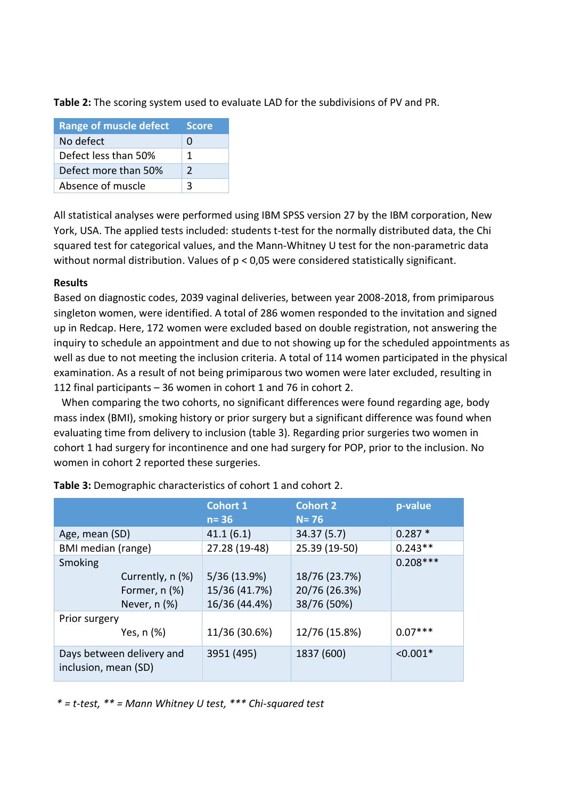**Table 2:** The scoring system used to evaluate LAD for the subdivisions of PV and PR.

| <b>Range of muscle defect</b> | <b>Score</b>  |
|-------------------------------|---------------|
| No defect                     | $\mathbf{U}$  |
| Defect less than 50%          | 1             |
| Defect more than 50%          | $\mathcal{L}$ |
| Absence of muscle             | ર             |

All statistical analyses were performed using IBM SPSS version 27 by the IBM corporation, New York, USA. The applied tests included: students t-test for the normally distributed data, the Chi squared test for categorical values, and the Mann-Whitney U test for the non-parametric data without normal distribution. Values of p < 0,05 were considered statistically significant.

# **Results**

Based on diagnostic codes, 2039 vaginal deliveries, between year 2008-2018, from primiparous singleton women, were identified. A total of 286 women responded to the invitation and signed up in Redcap. Here, 172 women were excluded based on double registration, not answering the inquiry to schedule an appointment and due to not showing up for the scheduled appointments as well as due to not meeting the inclusion criteria. A total of 114 women participated in the physical examination. As a result of not being primiparous two women were later excluded, resulting in 112 final participants – 36 women in cohort 1 and 76 in cohort 2.

 When comparing the two cohorts, no significant differences were found regarding age, body mass index (BMI), smoking history or prior surgery but a significant difference was found when evaluating time from delivery to inclusion (table 3). Regarding prior surgeries two women in cohort 1 had surgery for incontinence and one had surgery for POP, prior to the inclusion. No women in cohort 2 reported these surgeries.

|                                                                | <b>Cohort 1</b><br>$n = 36$                    | <b>Cohort 2</b><br>$N = 76$                   | p-value    |
|----------------------------------------------------------------|------------------------------------------------|-----------------------------------------------|------------|
| Age, mean (SD)                                                 | 41.1(6.1)                                      | 34.37 (5.7)                                   | $0.287*$   |
| BMI median (range)                                             | 27.28 (19-48)                                  | 25.39 (19-50)                                 | $0.243**$  |
| Smoking<br>Currently, n (%)<br>Former, n (%)<br>Never, $n$ $%$ | 5/36 (13.9%)<br>15/36 (41.7%)<br>16/36 (44.4%) | 18/76 (23.7%)<br>20/76 (26.3%)<br>38/76 (50%) | $0.208***$ |
| Prior surgery<br>Yes, n (%)                                    | 11/36 (30.6%)                                  | 12/76 (15.8%)                                 | $0.07***$  |
| Days between delivery and<br>inclusion, mean (SD)              | 3951 (495)                                     | 1837 (600)                                    | $< 0.001*$ |

**Table 3:** Demographic characteristics of cohort 1 and cohort 2.

*\* = t-test, \*\* = Mann Whitney U test, \*\*\* Chi-squared test*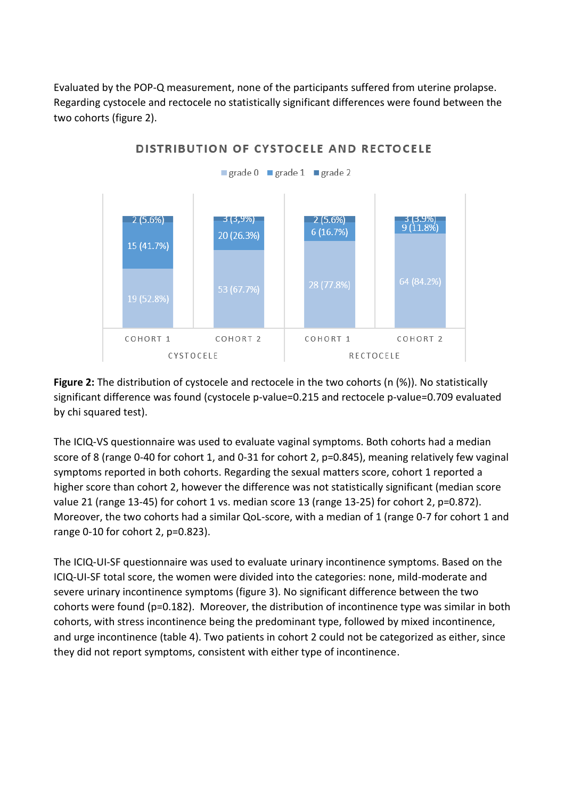Evaluated by the POP-Q measurement, none of the participants suffered from uterine prolapse. Regarding cystocele and rectocele no statistically significant differences were found between the two cohorts (figure 2).



**Figure 2:** The distribution of cystocele and rectocele in the two cohorts (n (%)). No statistically significant difference was found (cystocele p-value=0.215 and rectocele p-value=0.709 evaluated by chi squared test).

The ICIQ-VS questionnaire was used to evaluate vaginal symptoms. Both cohorts had a median score of 8 (range 0-40 for cohort 1, and 0-31 for cohort 2, p=0.845), meaning relatively few vaginal symptoms reported in both cohorts. Regarding the sexual matters score, cohort 1 reported a higher score than cohort 2, however the difference was not statistically significant (median score value 21 (range 13-45) for cohort 1 vs. median score 13 (range 13-25) for cohort 2, p=0.872). Moreover, the two cohorts had a similar QoL-score, with a median of 1 (range 0-7 for cohort 1 and range 0-10 for cohort 2, p=0.823).

The ICIQ-UI-SF questionnaire was used to evaluate urinary incontinence symptoms. Based on the ICIQ-UI-SF total score, the women were divided into the categories: none, mild-moderate and severe urinary incontinence symptoms (figure 3). No significant difference between the two cohorts were found (p=0.182). Moreover, the distribution of incontinence type was similar in both cohorts, with stress incontinence being the predominant type, followed by mixed incontinence, and urge incontinence (table 4). Two patients in cohort 2 could not be categorized as either, since they did not report symptoms, consistent with either type of incontinence.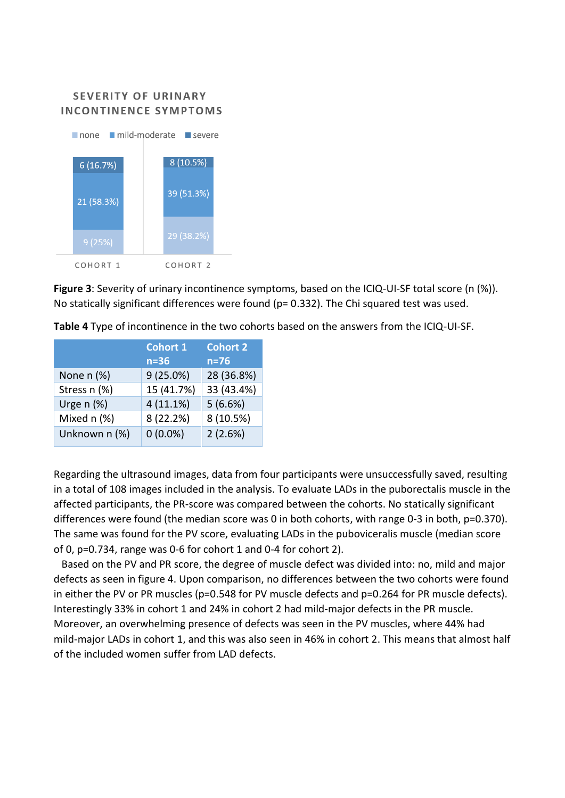# **SEVERITY OF URINARY INCONTINENCE SYMPTOMS**



**Figure 3**: Severity of urinary incontinence symptoms, based on the ICIQ-UI-SF total score (n (%)). No statically significant differences were found (p= 0.332). The Chi squared test was used.

|                 | <b>Cohort 1</b> | <b>Cohort 2</b> |
|-----------------|-----------------|-----------------|
|                 | $n=36$          | $n=76$          |
| None $n$ $(\%)$ | 9(25.0%)        | 28 (36.8%)      |
| Stress n (%)    | 15 (41.7%)      | 33 (43.4%)      |
| Urge $n$ (%)    | 4(11.1%)        | 5(6.6%)         |
| Mixed n (%)     | 8 (22.2%)       | 8 (10.5%)       |
| Unknown n (%)   | $0(0.0\%)$      | 2(2.6%)         |

**Table 4** Type of incontinence in the two cohorts based on the answers from the ICIQ-UI-SF.

Regarding the ultrasound images, data from four participants were unsuccessfully saved, resulting in a total of 108 images included in the analysis. To evaluate LADs in the puborectalis muscle in the affected participants, the PR-score was compared between the cohorts. No statically significant differences were found (the median score was 0 in both cohorts, with range 0-3 in both, p=0.370). The same was found for the PV score, evaluating LADs in the puboviceralis muscle (median score of 0, p=0.734, range was 0-6 for cohort 1 and 0-4 for cohort 2).

 Based on the PV and PR score, the degree of muscle defect was divided into: no, mild and major defects as seen in figure 4. Upon comparison, no differences between the two cohorts were found in either the PV or PR muscles (p=0.548 for PV muscle defects and p=0.264 for PR muscle defects). Interestingly 33% in cohort 1 and 24% in cohort 2 had mild-major defects in the PR muscle. Moreover, an overwhelming presence of defects was seen in the PV muscles, where 44% had mild-major LADs in cohort 1, and this was also seen in 46% in cohort 2. This means that almost half of the included women suffer from LAD defects.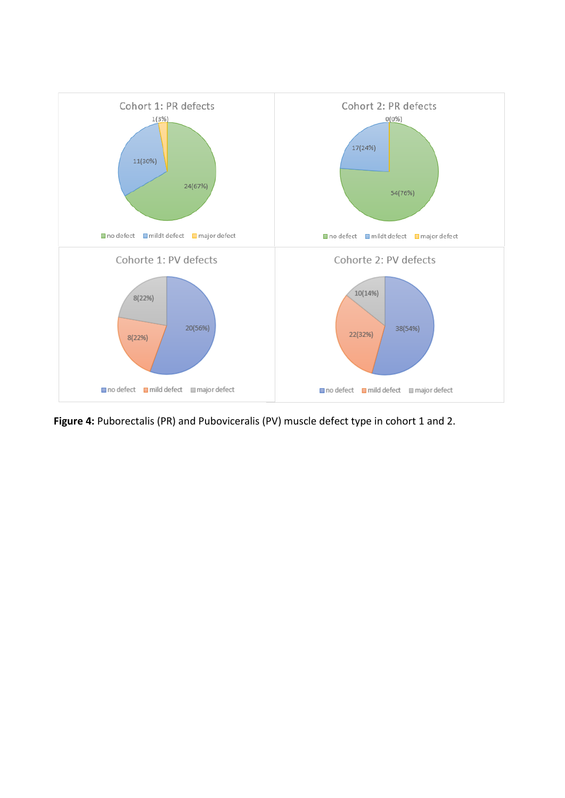

**Figure 4:** Puborectalis (PR) and Puboviceralis (PV) muscle defect type in cohort 1 and 2.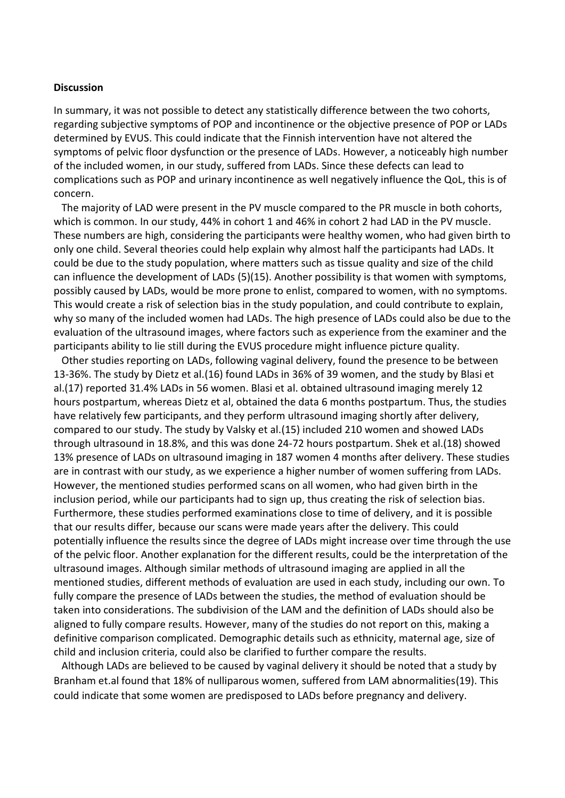#### **Discussion**

In summary, it was not possible to detect any statistically difference between the two cohorts, regarding subjective symptoms of POP and incontinence or the objective presence of POP or LADs determined by EVUS. This could indicate that the Finnish intervention have not altered the symptoms of pelvic floor dysfunction or the presence of LADs. However, a noticeably high number of the included women, in our study, suffered from LADs. Since these defects can lead to complications such as POP and urinary incontinence as well negatively influence the QoL, this is of concern.

 The majority of LAD were present in the PV muscle compared to the PR muscle in both cohorts, which is common. In our study, 44% in cohort 1 and 46% in cohort 2 had LAD in the PV muscle. These numbers are high, considering the participants were healthy women, who had given birth to only one child. Several theories could help explain why almost half the participants had LADs. It could be due to the study population, where matters such as tissue quality and size of the child can influence the development of LADs (5)(15). Another possibility is that women with symptoms, possibly caused by LADs, would be more prone to enlist, compared to women, with no symptoms. This would create a risk of selection bias in the study population, and could contribute to explain, why so many of the included women had LADs. The high presence of LADs could also be due to the evaluation of the ultrasound images, where factors such as experience from the examiner and the participants ability to lie still during the EVUS procedure might influence picture quality.

 Other studies reporting on LADs, following vaginal delivery, found the presence to be between 13-36%. The study by Dietz et al.(16) found LADs in 36% of 39 women, and the study by Blasi et al.(17) reported 31.4% LADs in 56 women. Blasi et al. obtained ultrasound imaging merely 12 hours postpartum, whereas Dietz et al, obtained the data 6 months postpartum. Thus, the studies have relatively few participants, and they perform ultrasound imaging shortly after delivery, compared to our study. The study by Valsky et al.(15) included 210 women and showed LADs through ultrasound in 18.8%, and this was done 24-72 hours postpartum. Shek et al.(18) showed 13% presence of LADs on ultrasound imaging in 187 women 4 months after delivery. These studies are in contrast with our study, as we experience a higher number of women suffering from LADs. However, the mentioned studies performed scans on all women, who had given birth in the inclusion period, while our participants had to sign up, thus creating the risk of selection bias. Furthermore, these studies performed examinations close to time of delivery, and it is possible that our results differ, because our scans were made years after the delivery. This could potentially influence the results since the degree of LADs might increase over time through the use of the pelvic floor. Another explanation for the different results, could be the interpretation of the ultrasound images. Although similar methods of ultrasound imaging are applied in all the mentioned studies, different methods of evaluation are used in each study, including our own. To fully compare the presence of LADs between the studies, the method of evaluation should be taken into considerations. The subdivision of the LAM and the definition of LADs should also be aligned to fully compare results. However, many of the studies do not report on this, making a definitive comparison complicated. Demographic details such as ethnicity, maternal age, size of child and inclusion criteria, could also be clarified to further compare the results.

 Although LADs are believed to be caused by vaginal delivery it should be noted that a study by Branham et.al found that 18% of nulliparous women, suffered from LAM abnormalities(19). This could indicate that some women are predisposed to LADs before pregnancy and delivery.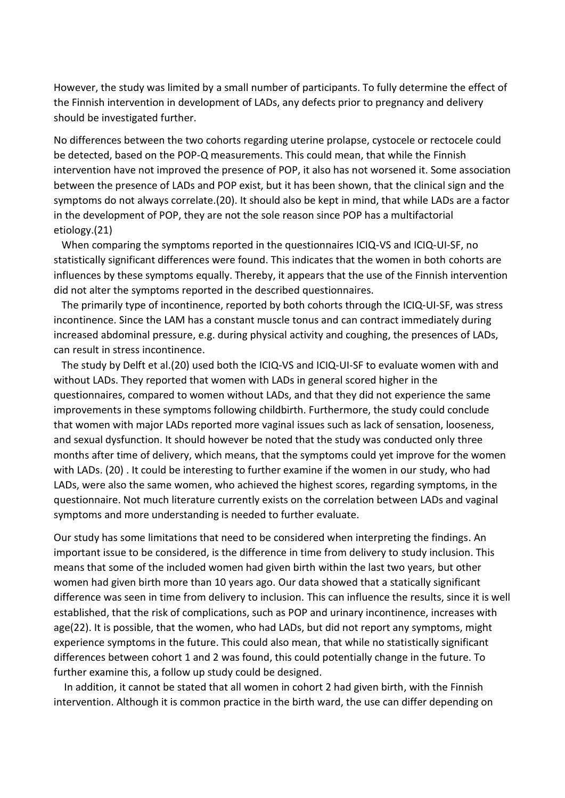However, the study was limited by a small number of participants. To fully determine the effect of the Finnish intervention in development of LADs, any defects prior to pregnancy and delivery should be investigated further.

No differences between the two cohorts regarding uterine prolapse, cystocele or rectocele could be detected, based on the POP-Q measurements. This could mean, that while the Finnish intervention have not improved the presence of POP, it also has not worsened it. Some association between the presence of LADs and POP exist, but it has been shown, that the clinical sign and the symptoms do not always correlate.(20). It should also be kept in mind, that while LADs are a factor in the development of POP, they are not the sole reason since POP has a multifactorial etiology.(21)

 When comparing the symptoms reported in the questionnaires ICIQ-VS and ICIQ-UI-SF, no statistically significant differences were found. This indicates that the women in both cohorts are influences by these symptoms equally. Thereby, it appears that the use of the Finnish intervention did not alter the symptoms reported in the described questionnaires.

 The primarily type of incontinence, reported by both cohorts through the ICIQ-UI-SF, was stress incontinence. Since the LAM has a constant muscle tonus and can contract immediately during increased abdominal pressure, e.g. during physical activity and coughing, the presences of LADs, can result in stress incontinence.

 The study by Delft et al.(20) used both the ICIQ-VS and ICIQ-UI-SF to evaluate women with and without LADs. They reported that women with LADs in general scored higher in the questionnaires, compared to women without LADs, and that they did not experience the same improvements in these symptoms following childbirth. Furthermore, the study could conclude that women with major LADs reported more vaginal issues such as lack of sensation, looseness, and sexual dysfunction. It should however be noted that the study was conducted only three months after time of delivery, which means, that the symptoms could yet improve for the women with LADs. (20) . It could be interesting to further examine if the women in our study, who had LADs, were also the same women, who achieved the highest scores, regarding symptoms, in the questionnaire. Not much literature currently exists on the correlation between LADs and vaginal symptoms and more understanding is needed to further evaluate.

Our study has some limitations that need to be considered when interpreting the findings. An important issue to be considered, is the difference in time from delivery to study inclusion. This means that some of the included women had given birth within the last two years, but other women had given birth more than 10 years ago. Our data showed that a statically significant difference was seen in time from delivery to inclusion. This can influence the results, since it is well established, that the risk of complications, such as POP and urinary incontinence, increases with age(22). It is possible, that the women, who had LADs, but did not report any symptoms, might experience symptoms in the future. This could also mean, that while no statistically significant differences between cohort 1 and 2 was found, this could potentially change in the future. To further examine this, a follow up study could be designed.

 In addition, it cannot be stated that all women in cohort 2 had given birth, with the Finnish intervention. Although it is common practice in the birth ward, the use can differ depending on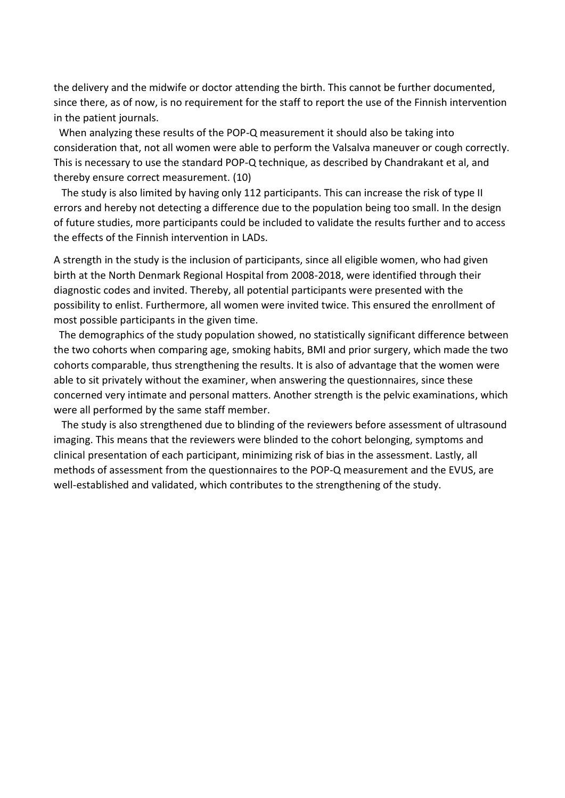the delivery and the midwife or doctor attending the birth. This cannot be further documented, since there, as of now, is no requirement for the staff to report the use of the Finnish intervention in the patient journals.

 When analyzing these results of the POP-Q measurement it should also be taking into consideration that, not all women were able to perform the Valsalva maneuver or cough correctly. This is necessary to use the standard POP-Q technique, as described by Chandrakant et al, and thereby ensure correct measurement. (10)

 The study is also limited by having only 112 participants. This can increase the risk of type II errors and hereby not detecting a difference due to the population being too small. In the design of future studies, more participants could be included to validate the results further and to access the effects of the Finnish intervention in LADs.

A strength in the study is the inclusion of participants, since all eligible women, who had given birth at the North Denmark Regional Hospital from 2008-2018, were identified through their diagnostic codes and invited. Thereby, all potential participants were presented with the possibility to enlist. Furthermore, all women were invited twice. This ensured the enrollment of most possible participants in the given time.

 The demographics of the study population showed, no statistically significant difference between the two cohorts when comparing age, smoking habits, BMI and prior surgery, which made the two cohorts comparable, thus strengthening the results. It is also of advantage that the women were able to sit privately without the examiner, when answering the questionnaires, since these concerned very intimate and personal matters. Another strength is the pelvic examinations, which were all performed by the same staff member.

 The study is also strengthened due to blinding of the reviewers before assessment of ultrasound imaging. This means that the reviewers were blinded to the cohort belonging, symptoms and clinical presentation of each participant, minimizing risk of bias in the assessment. Lastly, all methods of assessment from the questionnaires to the POP-Q measurement and the EVUS, are well-established and validated, which contributes to the strengthening of the study.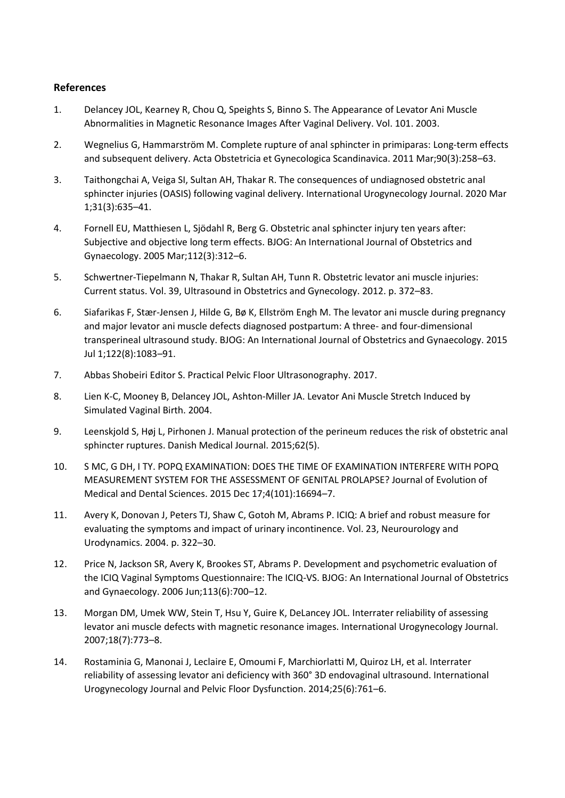#### **References**

- 1. Delancey JOL, Kearney R, Chou Q, Speights S, Binno S. The Appearance of Levator Ani Muscle Abnormalities in Magnetic Resonance Images After Vaginal Delivery. Vol. 101. 2003.
- 2. Wegnelius G, Hammarström M. Complete rupture of anal sphincter in primiparas: Long-term effects and subsequent delivery. Acta Obstetricia et Gynecologica Scandinavica. 2011 Mar;90(3):258–63.
- 3. Taithongchai A, Veiga SI, Sultan AH, Thakar R. The consequences of undiagnosed obstetric anal sphincter injuries (OASIS) following vaginal delivery. International Urogynecology Journal. 2020 Mar 1;31(3):635–41.
- 4. Fornell EU, Matthiesen L, Sjödahl R, Berg G. Obstetric anal sphincter injury ten years after: Subjective and objective long term effects. BJOG: An International Journal of Obstetrics and Gynaecology. 2005 Mar;112(3):312–6.
- 5. Schwertner-Tiepelmann N, Thakar R, Sultan AH, Tunn R. Obstetric levator ani muscle injuries: Current status. Vol. 39, Ultrasound in Obstetrics and Gynecology. 2012. p. 372–83.
- 6. Siafarikas F, Stær-Jensen J, Hilde G, Bø K, Ellström Engh M. The levator ani muscle during pregnancy and major levator ani muscle defects diagnosed postpartum: A three- and four-dimensional transperineal ultrasound study. BJOG: An International Journal of Obstetrics and Gynaecology. 2015 Jul 1;122(8):1083–91.
- 7. Abbas Shobeiri Editor S. Practical Pelvic Floor Ultrasonography. 2017.
- 8. Lien K-C, Mooney B, Delancey JOL, Ashton-Miller JA. Levator Ani Muscle Stretch Induced by Simulated Vaginal Birth. 2004.
- 9. Leenskjold S, Høj L, Pirhonen J. Manual protection of the perineum reduces the risk of obstetric anal sphincter ruptures. Danish Medical Journal. 2015;62(5).
- 10. S MC, G DH, I TY. POPQ EXAMINATION: DOES THE TIME OF EXAMINATION INTERFERE WITH POPQ MEASUREMENT SYSTEM FOR THE ASSESSMENT OF GENITAL PROLAPSE? Journal of Evolution of Medical and Dental Sciences. 2015 Dec 17;4(101):16694–7.
- 11. Avery K, Donovan J, Peters TJ, Shaw C, Gotoh M, Abrams P. ICIQ: A brief and robust measure for evaluating the symptoms and impact of urinary incontinence. Vol. 23, Neurourology and Urodynamics. 2004. p. 322–30.
- 12. Price N, Jackson SR, Avery K, Brookes ST, Abrams P. Development and psychometric evaluation of the ICIQ Vaginal Symptoms Questionnaire: The ICIQ-VS. BJOG: An International Journal of Obstetrics and Gynaecology. 2006 Jun;113(6):700–12.
- 13. Morgan DM, Umek WW, Stein T, Hsu Y, Guire K, DeLancey JOL. Interrater reliability of assessing levator ani muscle defects with magnetic resonance images. International Urogynecology Journal. 2007;18(7):773–8.
- 14. Rostaminia G, Manonai J, Leclaire E, Omoumi F, Marchiorlatti M, Quiroz LH, et al. Interrater reliability of assessing levator ani deficiency with 360° 3D endovaginal ultrasound. International Urogynecology Journal and Pelvic Floor Dysfunction. 2014;25(6):761–6.